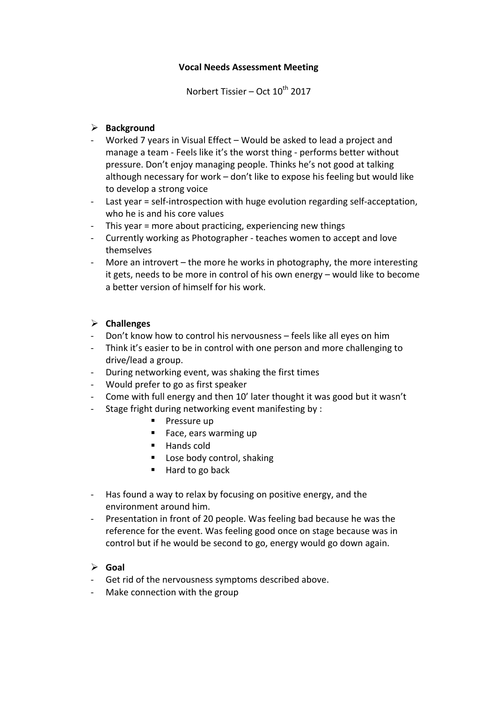### **Vocal Needs Assessment Meeting**

Norbert Tissier – Oct  $10^{th}$  2017

## Ø **Background**

- Worked 7 years in Visual Effect Would be asked to lead a project and manage a team - Feels like it's the worst thing - performs better without pressure. Don't enjoy managing people. Thinks he's not good at talking although necessary for work  $-$  don't like to expose his feeling but would like to develop a strong voice
- Last year = self-introspection with huge evolution regarding self-acceptation, who he is and his core values
- This year  $=$  more about practicing, experiencing new things
- Currently working as Photographer teaches women to accept and love themselves
- More an introvert the more he works in photography, the more interesting it gets, needs to be more in control of his own energy - would like to become a better version of himself for his work.

### Ø **Challenges**

- Don't know how to control his nervousness feels like all eyes on him
- Think it's easier to be in control with one person and more challenging to drive/lead a group.
- During networking event, was shaking the first times
- Would prefer to go as first speaker
- Come with full energy and then 10' later thought it was good but it wasn't
- Stage fright during networking event manifesting by :
	- Pressure up
	- Face, ears warming up
	- Hands cold
	- Lose body control, shaking
	- Hard to go back
- Has found a way to relax by focusing on positive energy, and the environment around him.
- Presentation in front of 20 people. Was feeling bad because he was the reference for the event. Was feeling good once on stage because was in control but if he would be second to go, energy would go down again.

# Ø **Goal**

- Get rid of the nervousness symptoms described above.
- Make connection with the group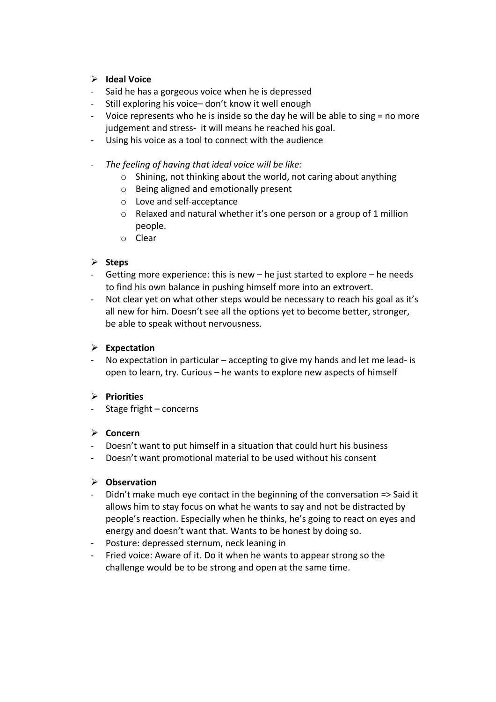## Ø **Ideal Voice**

- Said he has a gorgeous voice when he is depressed
- Still exploring his voice- don't know it well enough
- Voice represents who he is inside so the day he will be able to sing  $=$  no more judgement and stress- it will means he reached his goal.
- Using his voice as a tool to connect with the audience
- The feeling of having that ideal voice will be like:
	- $\circ$  Shining, not thinking about the world, not caring about anything
	- $\circ$  Being aligned and emotionally present
	- o Love and self-acceptance
	- $\circ$  Relaxed and natural whether it's one person or a group of 1 million people.
	- o Clear

# Ø **Steps**

- Getting more experience: this is new  $-$  he just started to explore  $-$  he needs to find his own balance in pushing himself more into an extrovert.
- Not clear yet on what other steps would be necessary to reach his goal as it's all new for him. Doesn't see all the options yet to become better, stronger, be able to speak without nervousness.

## Ø **Expectation**

No expectation in particular  $-$  accepting to give my hands and let me lead- is open to learn, try. Curious - he wants to explore new aspects of himself

# Ø **Priorities**

Stage fright  $-$  concerns

#### Ø **Concern**

- Doesn't want to put himself in a situation that could hurt his business
- Doesn't want promotional material to be used without his consent

#### $\triangleright$  Observation

- Didn't make much eye contact in the beginning of the conversation  $\Rightarrow$  Said it allows him to stay focus on what he wants to say and not be distracted by people's reaction. Especially when he thinks, he's going to react on eyes and energy and doesn't want that. Wants to be honest by doing so.
- Posture: depressed sternum, neck leaning in
- Fried voice: Aware of it. Do it when he wants to appear strong so the challenge would be to be strong and open at the same time.